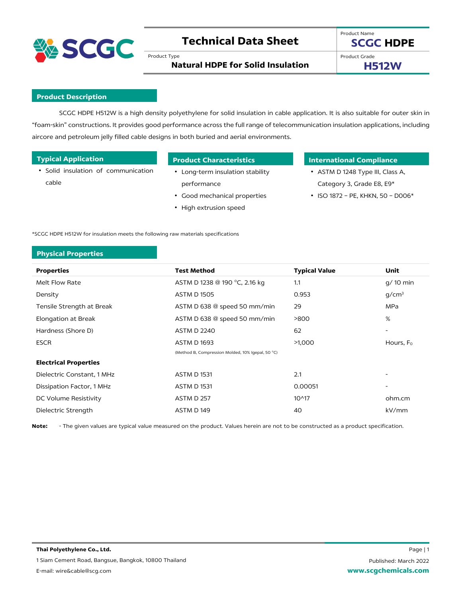

# **Technical Data Sheet**

Product Type

Product Name **SCGC HDPE**

**Natural HDPE for Solid Insulation**

Product Grade

**H512W**

# **Product Description**

SCGC HDPE H512W is a high density polyethylene for solid insulation in cable application. It is also suitable for outer skin in "foam-skin" constructions. It provides good performance across the full range of telecommunication insulation applications, including aircore and petroleum jelly filled cable designs in both buried and aerial environments.

• Solid insulation of communication cable

- Long-term insulation stability performance
- Good mechanical properties
- High extrusion speed

# **Typical Application Product Characteristics International Compliance**

- ASTM D 1248 Type III, Class A, Category 3, Grade E8, E9\*
- ISO 1872 PE, KHKN, 50 D006\*

\*SCGC HDPE H512W for insulation meets the following raw materials specifications

# **Physical Properties**

| <b>Properties</b>            | <b>Test Method</b>                                | <b>Typical Value</b> | Unit                     |
|------------------------------|---------------------------------------------------|----------------------|--------------------------|
| Melt Flow Rate               | ASTM D 1238 @ 190 °C, 2.16 kg                     | 1.1                  | $q/10$ min               |
| Density                      | <b>ASTM D 1505</b>                                | 0.953                | g/cm <sup>3</sup>        |
| Tensile Strength at Break    | ASTM D 638 @ speed 50 mm/min                      | 29                   | <b>MPa</b>               |
| <b>Elongation at Break</b>   | ASTM D 638 @ speed 50 mm/min                      | >800                 | %                        |
| Hardness (Shore D)           | <b>ASTM D 2240</b>                                | 62                   | $\overline{\phantom{a}}$ |
| <b>ESCR</b>                  | <b>ASTM D1693</b>                                 | >1,000               | Hours, F <sub>0</sub>    |
|                              | (Method B, Compression Molded, 10% Igepal, 50 °C) |                      |                          |
| <b>Electrical Properties</b> |                                                   |                      |                          |
| Dielectric Constant, 1 MHz   | <b>ASTM D 1531</b>                                | 2.1                  |                          |
| Dissipation Factor, 1 MHz    | <b>ASTM D 1531</b>                                | 0.00051              |                          |
| DC Volume Resistivity        | ASTM D 257                                        | $10^{4}17$           | ohm.cm                   |
| Dielectric Strength          | ASTM D149                                         | 40                   | kV/mm                    |

**Note:** - The given values are typical value measured on the product. Values herein are not to be constructed as a product specification.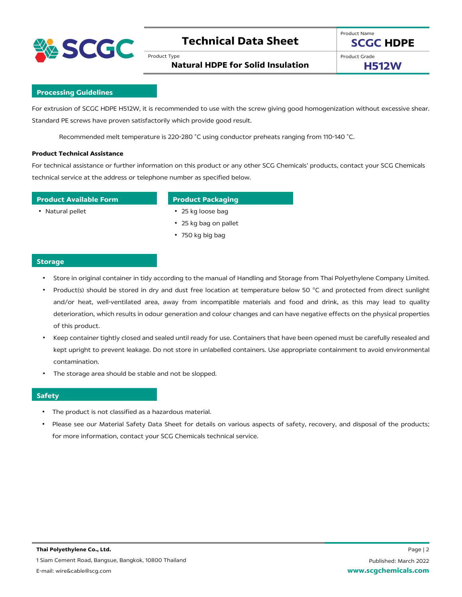

# **Technical Data Sheet**

Product Type

**Natural HDPE for Solid Insulation**

Product Grade

**H512W**

## **Processing Guidelines**

For extrusion of SCGC HDPE H512W, it is recommended to use with the screw giving good homogenization without excessive shear. Standard PE screws have proven satisfactorily which provide good result.

Recommended melt temperature is 220-280 ˚C using conductor preheats ranging from 110-140 ˚C.

### **Product Technical Assistance**

For technical assistance or further information on this product or any other SCG Chemicals' products, contact your SCG Chemicals technical service at the address or telephone number as specified below.

### **Product Available Form Product Packaging**

- Natural pellet 25 kg loose bag
	- 25 kg bag on pallet
	- 750 kg big bag

### **Storage**

- Store in original container in tidy according to the manual of Handling and Storage from Thai Polyethylene Company Limited.
- Product(s) should be stored in dry and dust free location at temperature below 50 °C and protected from direct sunlight and/or heat, well-ventilated area, away from incompatible materials and food and drink, as this may lead to quality deterioration, which results in odour generation and colour changes and can have negative effects on the physical properties of this product.
- Keep container tightly closed and sealed until ready for use. Containers that have been opened must be carefully resealed and kept upright to prevent leakage. Do not store in unlabelled containers. Use appropriate containment to avoid environmental contamination.
- The storage area should be stable and not be slopped.

# **Safety**

- The product is not classified as a hazardous material.
- Please see our Material Safety Data Sheet for details on various aspects of safety, recovery, and disposal of the products; for more information, contact your SCG Chemicals technical service.